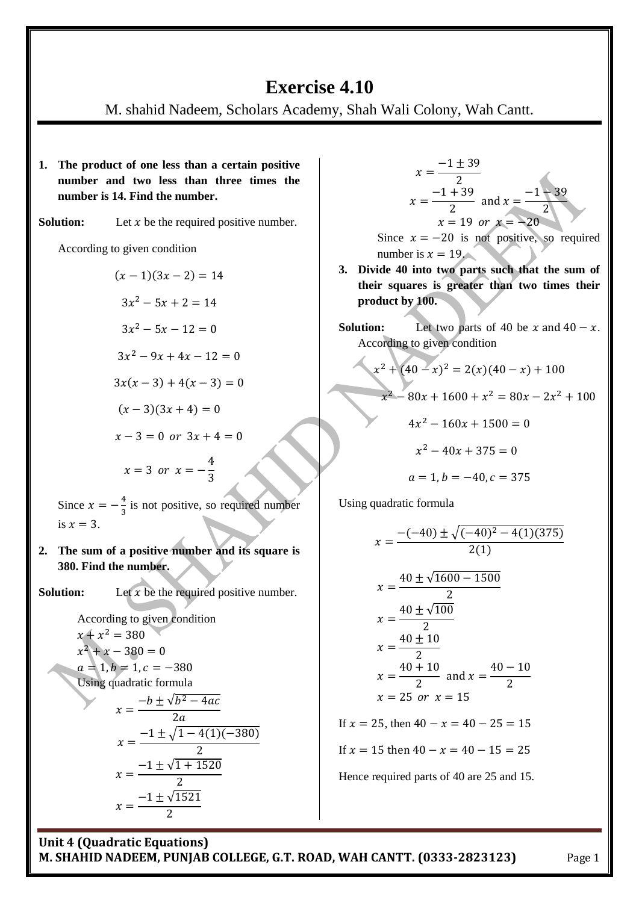# **Exercise 4.10**

M. shahid Nadeem, Scholars Academy, Shah Wali Colony, Wah Cantt.

- **1. The product of one less than a certain positive number and two less than three times the number is 14. Find the number.**
- **Solution:** Let  $x$  be the required positive number.

According to given condition

$$
(x-1)(3x-2) = 14
$$
  
\n
$$
3x^2 - 5x + 2 = 14
$$
  
\n
$$
3x^2 - 5x - 12 = 0
$$
  
\n
$$
3x^2 - 9x + 4x - 12 = 0
$$
  
\n
$$
3x(x-3) + 4(x-3) = 0
$$
  
\n
$$
(x-3)(3x + 4) = 0
$$
  
\n
$$
x-3 = 0 \text{ or } 3x + 4 = 0
$$
  
\n
$$
x = 3 \text{ or } x = -\frac{4}{3}
$$

Since  $x = -\frac{4}{3}$  $\frac{4}{3}$  is not positive, so required number is  $x = 3$ .

**2. The sum of a positive number and its square is 380. Find the number.**

**Solution:** Let  $x$  be the required positive number.

According to given condition  $x + x^2$  $x^2$  $a = 1, b = 1, c = -380$ Using quadratic formula  $\boldsymbol{\chi}$  $-b \pm \sqrt{b^2}$  $\overline{c}$  $\mathcal{X}$  $-1 \pm \sqrt{1 - 4(1)(-380)}$  $\overline{\mathbf{c}}$  $x=\frac{-1\pm\sqrt{1}}{2}$  $\overline{c}$  $\mathcal{X}$  $-1 \pm \sqrt{1}$  $\overline{\mathbf{c}}$ 

$$
x = \frac{-1 \pm 39}{2}
$$
  
x = \frac{-1 + 39}{2} and x = \frac{-1 - 39}{2}  
x = 19 or x = -20

Since  $x = -20$  is not positive, so required number is  $x = 19$ .

- **3. Divide 40 into two parts such that the sum of their squares is greater than two times their product by 100.**
- **Solution:** Let two parts of 40 be  $x$  and  $40 x$ . According to given condition

$$
x2 + (40 - x)2 = 2(x)(40 - x) + 100
$$
  

$$
x2 - 80x + 1600 + x2 = 80x - 2x2 + 100
$$
  

$$
4x2 - 160x + 1500 = 0
$$

$$
x^2 - 40x + 375 = 0
$$

$$
a = 1, b = -40, c = 375
$$

Using quadratic formula

$$
x = \frac{-(-40) \pm \sqrt{(-40)^2 - 4(1)(375)}}{2(1)}
$$
  
\n
$$
x = \frac{40 \pm \sqrt{1600 - 1500}}{2}
$$
  
\n
$$
x = \frac{40 \pm \sqrt{100}}{2}
$$
  
\n
$$
x = \frac{40 \pm 10}{2}
$$
  
\n
$$
x = \frac{40 + 10}{2} \text{ and } x = \frac{40 - 10}{2}
$$
  
\n
$$
x = 25 \text{ or } x = 15
$$
  
\nIf  $x = 25$ , then  $40 - x = 40 - 25 = 15$   
\nIf  $x = 15$  then  $40 - x = 40 - 15 = 25$ 

Hence required parts of 40 are 25 and 15.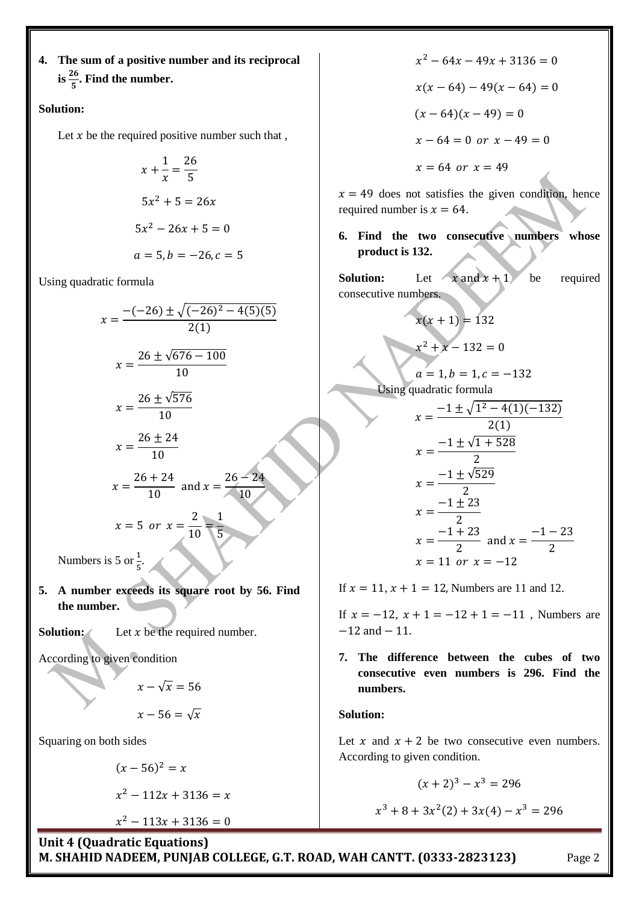**4. The sum of a positive number and its reciprocal**  is  $\frac{26}{5}$ . Find the number.

## **Solution:**

Let  $x$  be the required positive number such that,

$$
x + \frac{1}{x} = \frac{26}{5}
$$
  

$$
5x^2 + 5 = 26x
$$
  

$$
5x^2 - 26x + 5 = 0
$$
  

$$
a = 5, b = -26, c = 5
$$

Using quadratic formula

$$
x = \frac{-(-26) \pm \sqrt{(-26)^2 - 4(5)(5)}}{2(1)}
$$
  
\n
$$
x = \frac{26 \pm \sqrt{676 - 100}}{10}
$$
  
\n
$$
x = \frac{26 \pm \sqrt{576}}{10}
$$
  
\n
$$
x = \frac{26 \pm 24}{10}
$$
  
\n
$$
x = \frac{26 + 24}{10}
$$
 and 
$$
x = \frac{26 - 24}{10}
$$
  
\n
$$
x = 5 \text{ or } x = \frac{2}{10} = \frac{1}{5}
$$

Numbers is 5 or  $\frac{1}{5}$  $\frac{1}{5}$ .

- **5. A number exceeds its square root by 56. Find the number.**
- **Solution:** Let  $x$  be the required number.

According to given condition

$$
x - \sqrt{x} = 56
$$

$$
x - 56 = \sqrt{x}
$$

Squaring on both sides

$$
(x - 56)^2 = x
$$
  

$$
x^2 - 112x + 3136 = 0
$$

 $x^2$ 

 $\mathcal{X}$ 

 $x^2$  $x(x - 64) - 49(x - 64) = 0$  $(x - 64)(x - 49) = 0$  $x-64=0$  or  $x-49=0$  $x = 64$  or  $x = 49$ 

 $x = 49$  does not satisfies the given condition, hence required number is  $x = 64$ .

**6. Find the two consecutive numbers whose product is 132.**

**Solution:** Let  $x$  and  $x + 1$  be required consecutive numbers.

$$
x(x + 1) = 132
$$

$$
x2 + x - 132 = 0
$$

$$
a=1, b=1, c=-132
$$

Using quadratic formula

$$
x = \frac{-1 \pm \sqrt{1^2 - 4(1)(-132)}}{2(1)}
$$
  
\n
$$
x = \frac{-1 \pm \sqrt{1 + 528}}{2}
$$
  
\n
$$
x = \frac{-1 \pm \sqrt{529}}{2}
$$
  
\n
$$
x = \frac{-1 \pm 23}{2}
$$
  
\n
$$
x = \frac{-1 + 23}{2} \text{ and } x = \frac{-1 - 23}{2}
$$
  
\n
$$
x = 11 \text{ or } x = -12
$$

If  $x = 11$ ,  $x + 1 = 12$ , Numbers are 11 and 12.

If  $x = -12$ ,  $x + 1 = -12 + 1 = -11$ . Numbers are  $-12$  and  $-11$ .

**7. The difference between the cubes of two consecutive even numbers is 296. Find the numbers.**

## **Solution:**

Let x and  $x + 2$  be two consecutive even numbers. According to given condition.

$$
(x+2)^3 - x^3 = 296
$$

$$
x^3 + 8 + 3x^2(2) + 3x(4) - x^3 = 296
$$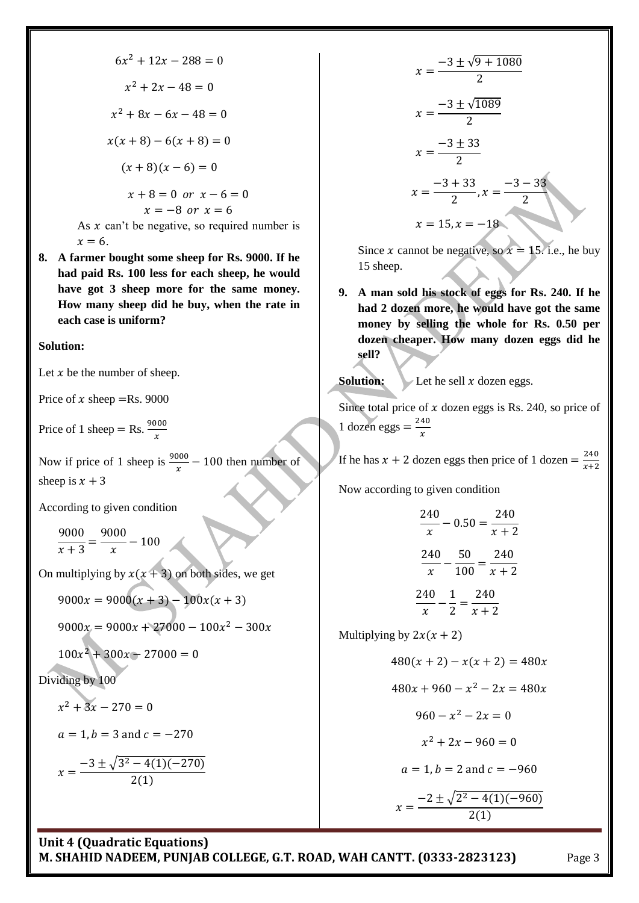$$
6x2 + 12x - 288 = 0
$$
  

$$
x2 + 2x - 48 = 0
$$
  

$$
x2 + 8x - 6x - 48 = 0
$$
  

$$
x(x + 8) - 6(x + 8) = 0
$$
  

$$
(x + 8)(x - 6) = 0
$$
  

$$
x + 8 = 0 \text{ or } x - 6 = 0
$$
  

$$
x = -8 \text{ or } x = 6
$$
  
As *x* can't be negative, so required number is  

$$
x = 6
$$
.

**8. A farmer bought some sheep for Rs. 9000. If he had paid Rs. 100 less for each sheep, he would have got 3 sheep more for the same money. How many sheep did he buy, when the rate in each case is uniform?**

#### **Solution:**

Let  $x$  be the number of sheep.

Price of x sheep = Rs. 9000

Price of 1 sheep = Rs.  $\frac{900}{x}$ 

Now if price of 1 sheep is  $\frac{9000}{x}$  – 100 then number of sheep is  $x + 3$ 

According to given condition

9  $\frac{1}{x+3} =$ 9  $\frac{1}{x}$  -

On multiplying by  $x(x + 3)$  on both sides, we get

 $9000x = 9000(x + 3) - 100x(x + 3)$ 

 $9000x = 9000x + 27000 - 100x^2$ 

$$
100x^2 + 300x - 27000 = 0
$$

## Dividing by 100

$$
x^2 + 3x - 270 = 0
$$

$$
a = 1, b = 3
$$
 and  $c = -270$ 

$$
x = \frac{-3 \pm \sqrt{3^2 - 4(1)(-270)}}{2(1)}
$$

$$
x = \frac{-3 \pm \sqrt{9 + 1080}}{2}
$$
  

$$
x = \frac{-3 \pm \sqrt{1089}}{2}
$$
  

$$
x = \frac{-3 \pm 33}{2}
$$
  

$$
x = \frac{-3 + 33}{2}, x = \frac{-3 - 33}{2}
$$
  

$$
x = 15, x = -18
$$

Since x cannot be negative, so  $x = 15$ . i.e., he buy 15 sheep.

**9. A man sold his stock of eggs for Rs. 240. If he had 2 dozen more, he would have got the same money by selling the whole for Rs. 0.50 per dozen cheaper. How many dozen eggs did he sell?**

**Solution:** Let he sell  $x$  dozen eggs.

Since total price of  $x$  dozen eggs is Rs. 240, so price of 1 dozen eggs  $=$   $\frac{2}{3}$  $\boldsymbol{\chi}$ 

If he has  $x + 2$  dozen eggs then price of 1 dozen =  $\frac{2}{x}$  $\chi$ 

Now according to given condition

$$
\frac{240}{x} - 0.50 = \frac{240}{x+2}
$$

$$
\frac{240}{x} - \frac{50}{100} = \frac{240}{x+2}
$$

$$
\frac{240}{x} - \frac{1}{2} = \frac{240}{x+2}
$$

Multiplying by  $2x(x + 2)$ 

$$
480(x + 2) - x(x + 2) = 480x
$$

$$
480x + 960 - x2 - 2x = 480x
$$

$$
960 - x2 - 2x = 0
$$

$$
x2 + 2x - 960 = 0
$$

$$
a = 1, b = 2
$$
 and  $c = -960$ 

$$
x = \frac{-2 \pm \sqrt{2^2 - 4(1)(-960)}}{2(1)}
$$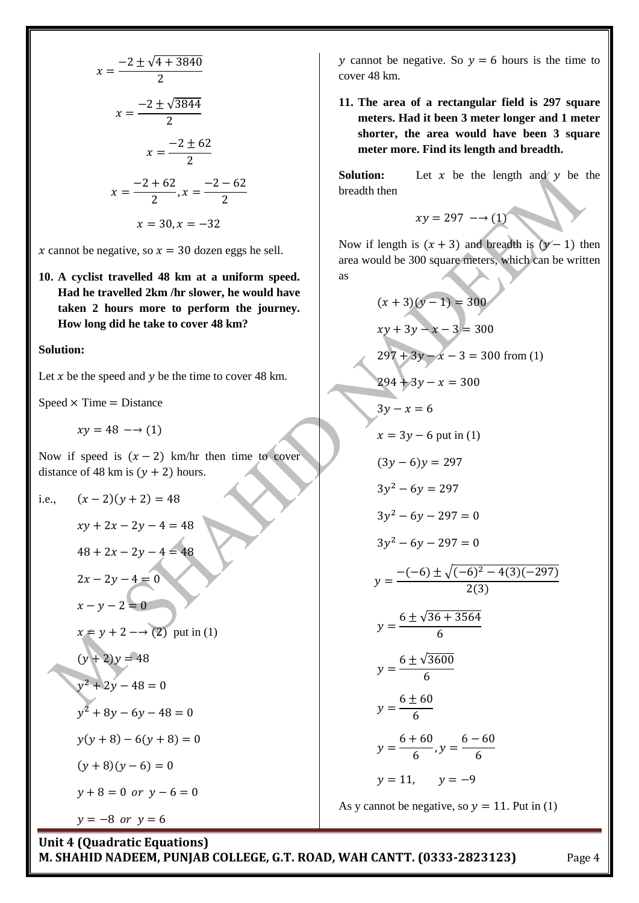$$
x = \frac{-2 \pm \sqrt{4 + 3840}}{2}
$$
  

$$
x = \frac{-2 \pm \sqrt{3844}}{2}
$$
  

$$
x = \frac{-2 \pm 62}{2}
$$
  

$$
x = \frac{-2 + 62}{2}, x = \frac{-2 - 62}{2}
$$
  

$$
x = 30, x = -32
$$

x cannot be negative, so  $x = 30$  dozen eggs he sell.

**10. A cyclist travelled 48 km at a uniform speed. Had he travelled 2km /hr slower, he would have taken 2 hours more to perform the journey. How long did he take to cover 48 km?**

#### **Solution:**

Let  $x$  be the speed and  $y$  be the time to cover 48 km.

 $Speed \times Time = Distance$ 

 $xy = 48 \rightarrow (1)$ 

Now if speed is  $(x - 2)$  km/hr then time to cover distance of 48 km is  $(y + 2)$  hours.

i.e.,  $(x-2)(y+2) = 48$ 

 $xy + 2x - 2y - 4 = 48$  $48 + 2x - 2y - 4 = 48$ 

 $2x - 2y - 4 = 0$ 

$$
x-y-2=0
$$

$$
x = y + 2 \longrightarrow (2)
$$
 put in (1)

$$
(y+2)y = 48
$$
  

$$
y^2 + 2y - 48 = 0
$$
  

$$
y^2 + 8y - 6y - 48 = 0
$$
  

$$
y(y+8) - 6(y+8) = 0
$$
  

$$
(y+8)(y-6) = 0
$$
  

$$
y+8 = 0 \text{ or } y-6 = 0
$$

 $y = -8$  or  $y = 6$ 

y cannot be negative. So  $y = 6$  hours is the time to cover 48 km.

**11. The area of a rectangular field is 297 square meters. Had it been 3 meter longer and 1 meter shorter, the area would have been 3 square meter more. Find its length and breadth.**

**Solution:** Let  $x$  be the length and  $y$  be the breadth then

$$
xy = 297 \longrightarrow (1)
$$

Now if length is  $(x + 3)$  and breadth is  $(y - 1)$  then area would be 300 square meters, which can be written as

$$
(x + 3)(y - 1) = 300
$$
  
\n
$$
xy + 3y - x - 3 = 300
$$
  
\n
$$
297 + 3y - x - 3 = 300
$$
from (1)  
\n
$$
294 + 3y - x = 300
$$
  
\n
$$
3y - x = 6
$$
  
\n
$$
x = 3y - 6
$$
put in (1)  
\n
$$
(3y - 6)y = 297
$$
  
\n
$$
3y2 - 6y = 297
$$
  
\n
$$
3y2 - 6y - 297 = 0
$$
  
\n
$$
3y2 - 6y - 297 = 0
$$
  
\n
$$
y = \frac{-(-6) \pm \sqrt{(-6)^2 - 4(3)(-297)}}{2(3)}
$$
  
\n
$$
y = \frac{6 \pm \sqrt{36 + 3564}}{6}
$$
  
\n
$$
y = \frac{6 \pm \sqrt{3600}}{6}
$$
  
\n
$$
y = \frac{6 \pm 60}{6}
$$
  
\n
$$
y = \frac{6 + 60}{6}, y = \frac{6 - 60}{6}
$$
  
\n
$$
y = 11, y = -9
$$

As y cannot be negative, so  $y = 11$ . Put in (1)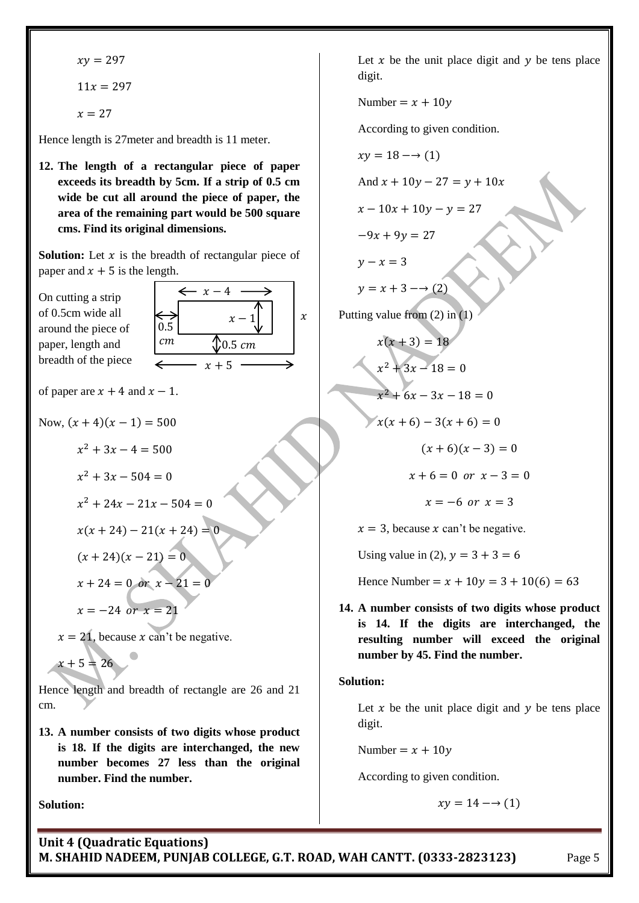$$
xy = 297
$$

$$
11x = 297
$$

$$
x = 27
$$

Hence length is 27meter and breadth is 11 meter.

**12. The length of a rectangular piece of paper exceeds its breadth by 5cm. If a strip of 0.5 cm wide be cut all around the piece of paper, the area of the remaining part would be 500 square cms. Find its original dimensions.**

**Solution:** Let  $x$  is the breadth of rectangular piece of paper and  $x + 5$  is the length.

On cutting a strip of 0.5cm wide all around the piece of paper, length and breadth of the piece  $x+5$  $0.5$  cm  $\leftarrow$  x - 4  $\chi$  -  $cm$ 

of paper are  $x + 4$  and  $x - 1$ .

Now,  $(x + 4)(x - 1) = 500$ 

 $x^2$ 

 $x^2$ 

$$
x^2 + 24x - 21x - 504 = 0
$$

$$
x(x + 24) - 21(x + 24) = 0
$$

$$
(x+24)(x-21) = 0
$$

 $x + 24 = 0$  or  $x - 21 = 0$  $x = -24$  or  $x = 21$ 

 $x = 21$ , because x can't be negative.

 $x + 5 = 26$ 

Hence length and breadth of rectangle are 26 and 21 cm.

**13. A number consists of two digits whose product is 18. If the digits are interchanged, the new number becomes 27 less than the original number. Find the number.**

**Solution:**

Let  $x$  be the unit place digit and  $y$  be tens place digit.

Number =  $x + 10y$ 

According to given condition.

$$
xy = 18 \rightarrow (1)
$$

And  $x + 10y - 27 = y + 10x$ 

 $x - 10x + 10y - y = 27$ 

$$
-9x + 9y = 27
$$

 $y - x = 3$ 

 $\boldsymbol{\chi}$ 

 $y = x + 3 \rightarrow (2)$ 

Putting value from (2) in (1)

$$
x(x+3) = 18
$$
  
\n
$$
x^{2} + 3x - 18 = 0
$$
  
\n
$$
x^{2} + 6x - 3x - 18 = 0
$$
  
\n
$$
x(x+6) - 3(x+6) = 0
$$
  
\n
$$
(x+6)(x-3) = 0
$$

$$
x+6=0 \text{ or } x-3=0
$$

$$
x = -6 \text{ or } x = 3
$$

 $x = 3$ , because x can't be negative.

Using value in (2),  $y = 3 + 3 = 6$ 

Hence Number =  $x + 10y = 3 + 10(6) = 63$ 

**14. A number consists of two digits whose product is 14. If the digits are interchanged, the resulting number will exceed the original number by 45. Find the number.**

## **Solution:**

Let  $x$  be the unit place digit and  $y$  be tens place digit.

Number =  $x + 10y$ 

According to given condition.

$$
xy = 14 \longrightarrow (1)
$$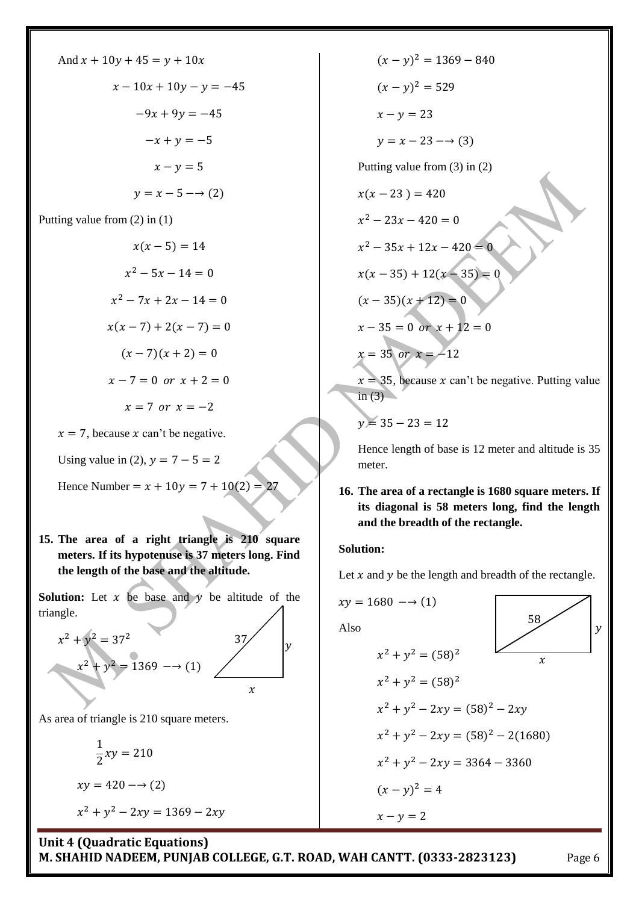And 
$$
x + 10y + 45 = y + 10x
$$
  
\n $x - 10x + 10y - y = -45$   
\n $-9x + 9y = -45$   
\n $-x + y = -5$   
\n $x - y = 5$   
\n $y = x - 5 \rightarrow (2)$ 

Putting value from (2) in (1)

$$
x(x-5) = 14
$$
  
\n
$$
x^{2} - 5x - 14 = 0
$$
  
\n
$$
x^{2} - 7x + 2x - 14 = 0
$$
  
\n
$$
x(x-7) + 2(x-7) = 0
$$
  
\n
$$
(x-7)(x+2) = 0
$$
  
\n
$$
x-7 = 0 \text{ or } x+2 = 0
$$
  
\n
$$
x = 7 \text{ or } x = -2
$$

 $x = 7$ , because x can't be negative.

Using value in (2),  $y = 7 - 5 = 2$ 

Hence Number =  $x + 10y = 7 + 10(2) = 27$ 

**15. The area of a right triangle is 210 square meters. If its hypotenuse is 37 meters long. Find the length of the base and the altitude.**

**Solution:** Let  $x$  be base and  $y$  be altitude of the triangle.

37

 $\boldsymbol{\gamma}$ 

 $\mathcal{Y}$ 

 $x^2 + y^2$  $x^2 + y^2 = 1369 \longrightarrow (1)$ 

As area of triangle is 210 square meters.

$$
\frac{1}{2}xy = 210
$$
  

$$
xy = 420 \rightarrow (2)
$$
  

$$
x^2 + y^2 - 2xy = 1369 - 2xy
$$

 $(x - y)^2$  $(x - y)^2$  $x - y = 23$  $y = x - 23 \rightarrow (3)$ Putting value from (3) in (2)  $x(x - 23) = 420$  $x^2$  $x^2$  $x(x-35) + 12(x - 35) = 0$  $(x - 35)(x + 12) = 0$  $x-35=0$  or  $x+12=0$  $x = 35$  or  $x = -12$  $x = 35$ , because x can't be negative. Putting value in  $(3)$ 

 $y = 35 - 23 = 12$ 

Hence length of base is 12 meter and altitude is 35 meter.

**16. The area of a rectangle is 1680 square meters. If its diagonal is 58 meters long, find the length and the breadth of the rectangle.**

## **Solution:**

Let  $x$  and  $y$  be the length and breadth of the rectangle.

$$
xy = 1680 \rightarrow (1)
$$
  
Also  

$$
x^{2} + y^{2} = (58)^{2}
$$

$$
x^{2} + y^{2} = (58)^{2}
$$

$$
x^{2} + y^{2} - 2xy = (58)^{2} - 2xy
$$

$$
x^{2} + y^{2} - 2xy = (58)^{2} - 2(1680)
$$

$$
x^{2} + y^{2} - 2xy = 3364 - 3360
$$

$$
(x - y)^{2} = 4
$$

$$
x - y = 2
$$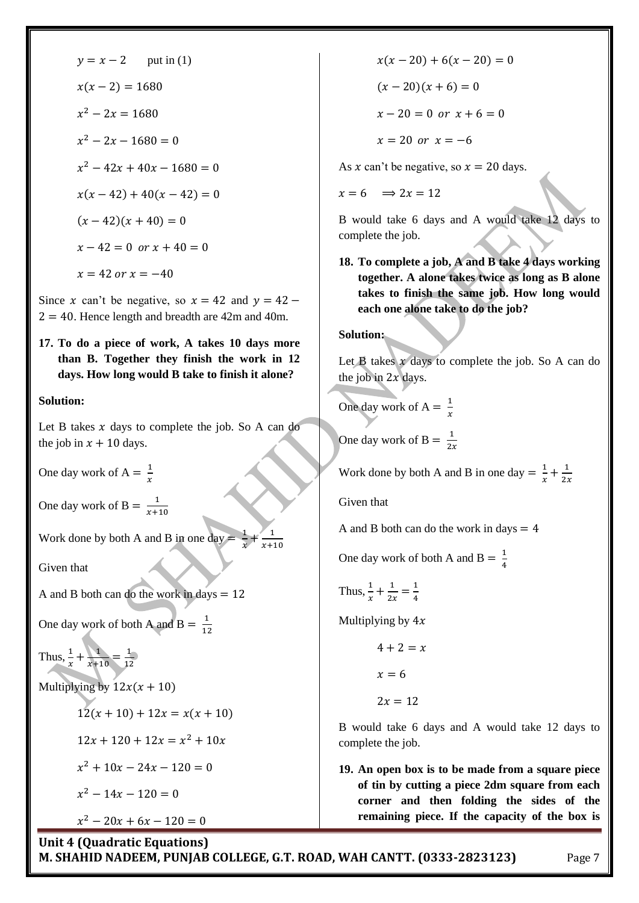$$
y = x - 2 \quad \text{put in (1)}
$$
\n
$$
x(x - 2) = 1680
$$
\n
$$
x^2 - 2x = 1680
$$
\n
$$
x^2 - 42x + 40x - 1680 = 0
$$
\n
$$
x(x - 42) + 40(x - 42) = 0
$$
\n
$$
(x - 42)(x + 40) = 0
$$
\n
$$
x - 42 = 0 \text{ or } x + 40 = 0
$$
\n
$$
x = 42 \text{ or } x = -40
$$

Since x can't be negative, so  $x = 42$  and  $y = 42$  –  $2 = 40$ . Hence length and breadth are 42m and 40m.

**17. To do a piece of work, A takes 10 days more than B. Together they finish the work in 12 days. How long would B take to finish it alone?**

## **Solution:**

Let B takes  $x$  days to complete the job. So A can do the job in  $x + 10$  days.

One day work of  $A = \frac{1}{b}$  $\boldsymbol{\chi}$ 

One day work of B =  $\frac{1}{\sqrt{2}}$  $\chi$ 

Work done by both A and B in one day  $\mathbf{1}$  $\overline{x}$  $\pm$  $\mathbf{1}$  $\boldsymbol{\chi}$ 

Given that

A and B both can do the work in days  $= 12$ 

One day work of both A and  $B = \frac{1}{\sqrt{2}}$  $\mathbf{1}$ 

Thus,  $\frac{1}{x} + \frac{1}{x+1}$  $\frac{1}{x+10} = \frac{1}{12}$  $\mathbf{1}$ 

Multiplying by  $12x(x + 10)$ 

 $12(x + 10) + 12x = x(x + 10)$  $12x + 120 + 12x = x^2$  $x^2$  $x^2$  $x^2$ 

 $x(x - 20) + 6(x - 20) = 0$  $(x - 20)(x + 6) = 0$  $x - 20 = 0$  or  $x + 6 = 0$ 

 $x = 20$  or  $x = -6$ 

As x can't be negative, so  $x = 20$  days.

 $x = 6 \implies 2x = 12$ 

B would take 6 days and A would take 12 days to complete the job.

**18. To complete a job, A and B take 4 days working together. A alone takes twice as long as B alone takes to finish the same job. How long would each one alone take to do the job?**

**Solution:**

Let  $\bf{B}$  takes  $\bf{x}$  days to complete the job. So A can do the job in  $2x$  days.

One day work of A = 
$$
\frac{1}{x}
$$

One day work of B =  $\frac{1}{2}$  $\overline{\mathbf{c}}$ 

Work done by both A and B in one day  $=$   $\frac{1}{x}$  $\frac{1}{x} + \frac{1}{2}$  $\overline{\mathbf{c}}$ 

Given that

A and B both can do the work in days  $= 4$ 

One day work of both A and B =  $\frac{1}{4}$ 4

Thus, 
$$
\frac{1}{x} + \frac{1}{2x} = \frac{1}{4}
$$

Multiplying by  $4x$ 

$$
4+2=x
$$

 $x = 6$ 

$$
2x=12
$$

B would take 6 days and A would take 12 days to complete the job.

**19. An open box is to be made from a square piece of tin by cutting a piece 2dm square from each corner and then folding the sides of the remaining piece. If the capacity of the box is**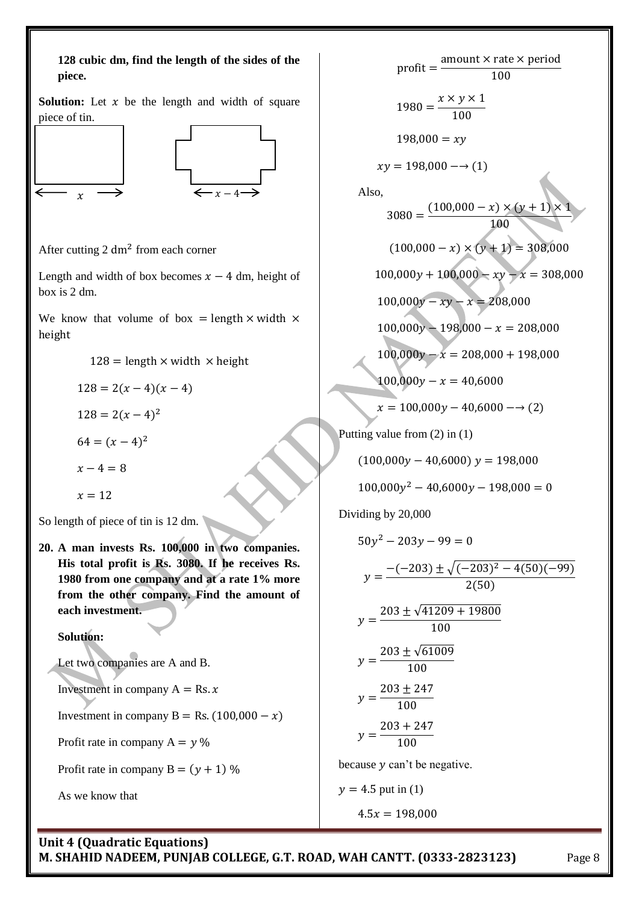

 $\overline{p}$ a  $\mathbf{1}$  $\mathbf{1}$  $\chi$  $\mathbf{1}$  $198,000 = xy$  $xy = 198,000 \rightarrow (1)$ Also, 3  $(100,000 - x) \times (y + 1) \times$  $\overline{1}$  $(100,000 - x) \times (y + 1) = 308,000$  $100,000y + 100,000 - xy - x = 308,000$  $100,000y - xy - x = 208,000$  $100,000y - 198,000 - x = 208,000$  $100,000y - x = 208,000 + 198,000$  $100,000y - x = 40,6000$  $x = 100,000y - 40,6000 - (2)$ Putting value from (2) in (1)  $(100,000y - 40,6000) y = 198,000$  $100,000y^2$ Dividing by 20,000  $50y^2$  $\mathcal{Y}$  $- (-203) \pm \sqrt{(-203)^2 - 4(50)(-99)}$  $2(50)$  $y = \frac{203 \pm \sqrt{4}}{9}$  $\mathbf{1}$  $y = \frac{203 \pm \sqrt{6}}{100}$  $\mathbf{1}$  $\mathcal{Y}$  $\overline{c}$  $\mathbf{1}$  $\mathcal{Y}$  $\overline{c}$  $\mathbf{1}$ because  $y$  can't be negative.  $y = 4.5$  put in (1)  $4.5x = 198,000$ 

**M. SHAHID NADEEM, PUNJAB COLLEGE, G.T. ROAD, WAH CANTT. (0333-2823123)** Page 8